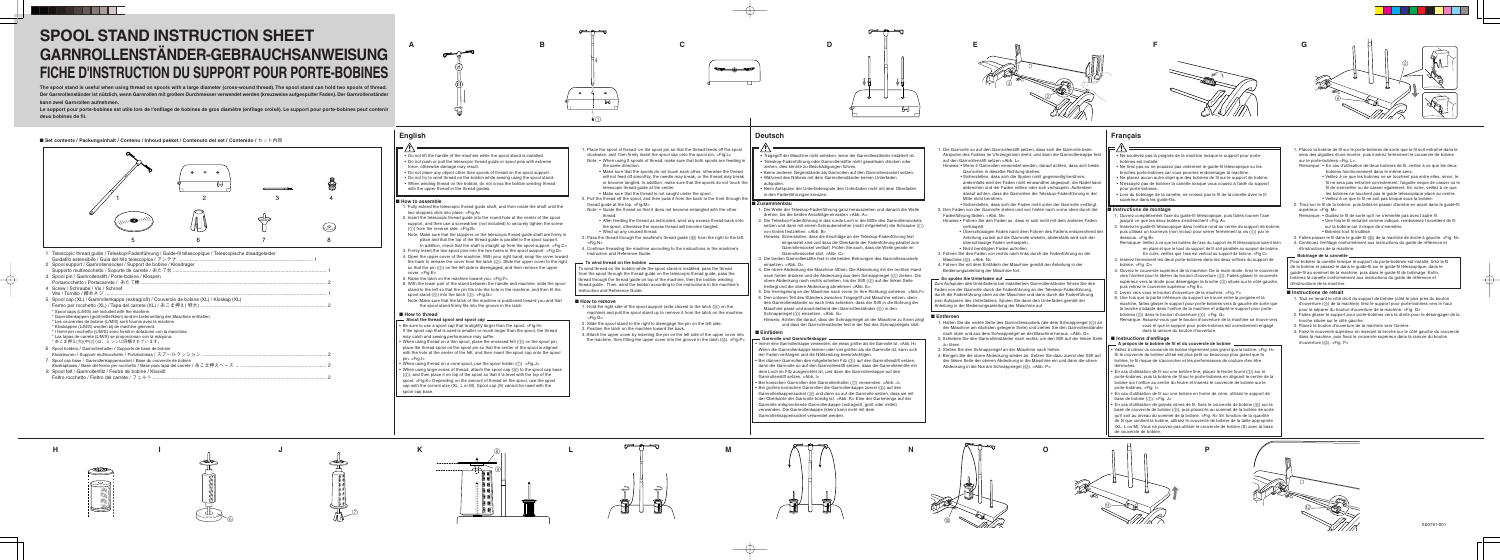

**L**

- 1. Hold the right side of the spool support (side closest to the latch  $(\textcircled{\tiny{1}})$  on the machine) and pull the spool stand up to remove it from the latch on the machine. <Fig.O>
- 2. Slide the spool stand to the right to disengage the pin on the left side.
- 3. Position the latch on the machine toward the back.
- 4. Attach the upper cover by inserting the pin on the left side of the upper cover into the machine, then fitting the upper cover into the groove in the latch  $(\circledcirc)$ . <Fig.P>





















**C D**



# **SPOOL STAND INSTRUCTION SHEET GARNROLLENSTÄNDER-GEBRAUCHSANWEISUNG FICHE D'INSTRUCTION DU SUPPORT POUR PORTE-BOBINES**

1 Telescopic thread guide / Teleskop-Fadenführung / Guide-fil télescopique / Telescopische draadgeleider Guidafilo estensibile / Guía del hilo telescópica / アンテナ...

**The spool stand is useful when using thread on spools with a large diameter (cross-wound thread). The spool stand can hold two spools of thread. Der Garnrollenständer ist nützlich, wenn Garnrollen mit großem Durchmesser verwendet werden (kreuzweise aufgespulter Faden). Der Garnrollenständer kann zwei Garnrollen aufnehmen.**

**Le support pour porte-bobines est utile lors de l'enfilage de bobines de gros diamètre (enfilage croisé). Le support pour porte-bobines peut contenir deux bobines de fil.**

## ■ Set contents / Packungsinhalt / Contenu / Inhoud pakket / Contenuto del set / Contenido / セット内容

- 1. Die Welle der Teleskop-Fadenführung ganz herausziehen und danach die Welle drehen, bis die beiden Anschläge einrasten <Abb. A>.
- 2. Die Teleskop-Fadenführung in das runde Loch in der Mitte des Garnrollensockels setzen und dann mit einem Schraubendreher (nicht mitgeliefert) die Schraube (1) von hinten festziehen. <Abb. B>
- Hinweis: Sicherstellen, dass die Anschläge an der Teleskop-Fadenführung fest eingerastet sind und dass die Oberkante der Fadenführung parallel zum Garnrollensockel verläuft. Prüfen Sie auch, dass die Welle gerade im Garnrollensockel sitzt. <Abb. C>
- 3. Die beiden Garnrollenstifte fest in die beiden Bohrungen des Garnrollensockels einsetzen. <Abb. D>
- 4. Die obere Abdeckung der Maschine öffnen. Die Abdeckung mit der rechten Hand nach hinten drücken und die Abdeckung aus dem Schnappriegel (2) ziehen. Die obere Abdeckung nach rechts schieben, bis der Stift (3) auf der linken Seite freiliegt und die obere Abdeckung abnehmen <Abb. E>.
- 5. Die Verriegelung an der Maschine nach vorne (in Ihre Richtung) anheben. <Abb.F>
- 6. Den unteren Teil des Ständers zwischen Tragegriff und Maschine setzen, dann den Garnrollenständer so nach links schieben, dass der Stift in die Bohrung der Maschine passt und anschließend den Garnrollenständer (5) in den Schnappriegel (4) einsetzen. <Abb. G>

### **English Français Deutsch**

| 2 Spool support / Garnrollensockel / Support de bobine / Klosdrager                              |  |
|--------------------------------------------------------------------------------------------------|--|
|                                                                                                  |  |
| 3 Spool pin / Garnrollenstift / Porte-bobine / Klospen                                           |  |
|                                                                                                  |  |
| 4 Screw / Schraube / Vis / Schroef                                                               |  |
|                                                                                                  |  |
| 5 Spool cap (XL) / Garnrollenkappe (extragroß) / Couvercle de bobine (XL) / Kloskap (XL)         |  |
|                                                                                                  |  |
| * Spool caps (L/M/S) are included with the machine.                                              |  |
| * Garnrollenkappen (groß/mittel/klein) sind im Lieferumfang der Maschine enthalten.              |  |
| * Les couvercles de bobine (L/M/S) sont fournis avec la machine.                                 |  |
| * Kloskappen (L/M/S) worden bij de machine geleverd.                                             |  |
| * I fermi per rocchetto (L/M/S) sono forniti in dotazione con la macchina.                       |  |
| * Las tapas de carrete (L/M/S) se proporcionan con la máquina.<br>*糸こま押え(大)(中)(小)は、ミシンに同梱されています。 |  |
|                                                                                                  |  |
| 6 Spool holders / Garnrollenhalter / Supports de base de bobine                                  |  |
|                                                                                                  |  |
| 7 Spool cap base / Garnrollenkappensockel / Base du couvercle de bobine                          |  |
|                                                                                                  |  |
| 8 Spool felt / Garnrollenfilz / Feutre de bobine / Klosvilt                                      |  |
|                                                                                                  |  |



### ■ **Zusammenbau**

Hinweis: Achten Sie darauf, dass der Schnappriegel an der Maschine zu Ihnen zeigt und dass der Garnrollenständer fest in der Nut des Schnappriegels sitzt.

- Tragegriff der Maschine nicht anheben, wenn der Garnrollenständer installiert ist. • Teleskop-Fadenführung oder Garnrollenstifte nicht gewaltsam drücken oder ziehen, dies könnte zu Beschädigungen führen.
- Keine anderen Gegenstände als Garnrollen auf den Garnrollensockel setzen. • Während des Nähens mit dem Garnrollenständer keinen Unterfaden
- aufspulen. • Beim Aufspulen der Unterfadenspule den Unterfaden nicht mit dem Oberfaden
- in den Fadenführungen kreuzen.
- Do not lift the handle of the machine while the spool stand is installed. • Do not push or pull the telescopic thread guide or spool pins with extreme
- force, otherwise damage may result.
- Do not place any object other than spools of thread on the spool support.
- Do not try to wind thread on the bobbin while sewing using the spool stand.
- When winding thread on the bobbin, do not cross the bobbin winding thread with the upper thread in the thread quides

### ■ **How to assemble**

To wind thread on the bobbin while the spool stand is installed, pass the thread from the spool through the thread guide on the telescopic thread guide, pass the thread through the thread guide on top of the machine, then the bobbin winding thread guide. Then, wind the bobbin according to the instructions in the machine's nstruction and Reference Guide.

- 1. Die Garnrolle so auf den Garnrollenstift setzen, dass sich die Garnrolle beim Abspulen des Fadens im Uhrzeigersinn dreht, und dann die Garnrollenkappe fest auf den Garnrollenstift setzen <Abb. L>.
- Hinweis: Wenn 2 Garnrollen verwendet werden, darauf achten, dass sich beide Garnrollen in dieselbe Richtung drehen.
- Sicherstellen, dass sich die Spulen nicht gegenseitig berühren, andernfalls wird der Faden nicht einwandfrei abgespult, die Nadel kann abbrechen und der Faden reißen oder sich verhaspeln. Außerdem darauf achten, dass die Garnrollen die Teleskop-Fadenführung in der Mitte nicht berühren.
- Sicherstellen, dass sich der Faden nicht unter der Garnrolle verfängt. 2. Den Faden von der Garnrolle ziehen und von hinten nach vorne oben durch die Fadenführung fädeln. <Abb. M>
- Hinweis:• Führen Sie den Faden so, dass er sich nicht mit dem anderen Faden verhaspelt.
	- Überschüssigen Faden nach dem Führen des Fadens entsprechend der Anleitung zurück auf die Garnrolle wickeln, andernfalls wird sich der überschüssige Faden verhaspeln.
- Nicht benötigten Faden aufrollen. 3. Führen Sie den Faden von rechts nach links durch die Fadenführung an der Maschine (@) <Abb. N>
- 4. Fahren Sie mit dem Einfädeln der Maschine gemäß der Anleitung in der Bedienungsanleitung der Maschine fort.

## **So spulen Sie Unterfaden auf**

Zum Aufspulen des Unterfadens bei installiertem Garnrollenständer führen Sie den Faden von der Garnrolle durch die Fadenführung an der Teleskop-Fadenführung, durch die Fadenführung oben an der Maschine und dann durch die Fadenführung zum Aufspulen des Unterfadens. Spulen Sie dann den Unterfaden gemäß der Anleitung in der Bedienungsanleitung der Maschine auf.

### ■ **Entfernen**

- 1. Halten Sie die rechte Seite des Garnrollensockels (die dem Schnappriegel ( $@$ ) an der Maschine am nächsten gelegene Seite) und ziehen Sie den Garnrollenständ nach oben und aus dem Schnappriegel an der Maschine heraus. <Abb. O>
- 2. Schieben Sie den Garnrollenständer nach rechts, um den Stift auf der linken Seite zu lösen.
- 3. Stellen Sie den Schnappriegel an der Maschine nach hinten.
- 4. Bringen Sie die obere Abdeckung wieder an. Setzen Sie dazu zuerst den Stift auf der linken Seite der oberen Abdeckung in die Maschine ein und dann die obere Abdeckung in die Nut am Schnappriegel (@). <Abb. P>

- Ne soulevez pas la poignée de la machine lorsque le support pour portebobines est installé.
- Ne tirez pas ou ne poussez pas violement le guide-fil télescopique ou les broches porte-bobines car vous pourriez endommager la machine.
- Ne placez aucun autre objet que des bobines de fil sur le support de bobine. • N'essayez pas de bobiner la canette lorsque vous cousez à l'aide du support pour porte-bobines.
- Lors du bobinage de la canette, ne croisez pas le fil de la canette avec le fil supérieur dans les quide-fils.

### ■ **Einfädeln**

- **Garnrolle und Garnrollenkappe**
- • Immer eine Garnrollenkappe verwenden, die etwas größer als die Garnrolle ist. <Abb. H> Wenn die Garnrollenkappe kleiner oder viel größer als die Garnrolle ist, kann sich der Faden verfangen und die Nähleistung beeinträchtigen.
- Bei dünnen Garnrollen den mitgelieferten Filz (6) auf den Garnrollenstift setzen, dann die Garnrolle so auf den Garnrollenstift setzen, dass die Garnrollenmitte mit dem Loch im Filz ausgerichtet ist, und dann die Garnrollenkappe auf den Garnrollenstift setzen. <Abb. I>
- Bei konischen Garnrollen den Garnrollenhalter (7) verwenden. <Abb. J>
- Bei großen konischen Garnrollen die Garnrollenkappe zuerst (8) auf den Garnrollenkappensockel (9) und dann so auf die Garnrolle setzen, dass sie mit der Oberkante der Garnrolle bündig ist. <Abb. K> Eine der Garnmenge auf der Garnrolle entsprechende Garnrollenkappe (extragroß, groß oder mittel) verwenden. Die Garnrollenkappe (klein) kann nicht mit dem Garnrollenkappensockel verwendet werden.
- 1. Tout en tenant le côté droit du support de bobine (côté le plus près du bouton d'ouverture ( $\circled{\scriptstyle 0}$ ) de la machine) tirez le support pour porte-bobines vers le haut pour le séparer du bouton d'ouverture de la machine. <Fig. O>
- 2. Faites glisser le support pour porte-bobines vers la droite pour le désengager de la broche située sur le côté gauche.
- 3. Placez le bouton d'ouverture de la machine vers l'arrière.
- 4. Fixez le couvercle supérieur en insérant la broche sur le côté gauche du couvercle dans la machine, puis fixez le couvercle supérieur dans la rainure du bouton d'ouverture (12). <Fig. P>



- 1. Fully extend the telescopic thread guide shaft, and then rotate the shaft until the two stoppers click into place. <Fig.A>
- 2. Insert the telescopic thread guide into the round hole at the center of the spool support, and then use a screwdriver (not included) to securely tighten the screw  $(1)$  from the reverse side. <Fig.B>
- Note: Make sure that the stoppers on the telescopic thread guide shaft are firmly in place and that the top of the thread guide is parallel to the spool support. In addition, check that the shaft is straight up from the spool support. <Fig.C>
- 3. Firmly insert the two spool pins into the two holes in the spool support.  $\epsilon$  Fig. D  $>$ 4. Open the upper cover of the machine. With your right hand, snap the cover toward
- the back to release the cover from the latch  $(\circled{2})$ . Slide the upper cover to the right so that the pin (3) on the left side is disengaged, and then remove the upper cover. <Fig.E>
- 5. Raise the latch on the machine toward you. <Fig.F>
- 6. With the lower part of the stand between the handle and machine, slide the spool stand to the left so that the pin fits into the hole in the machine, and then fit the spool stand  $(6)$  into the latch  $(4)$ . <Fig.G>
- Note: Make sure that the latch of the machine is positioned toward you and that the spool stand firmly fits into the groove in the latch.

## ■ **How to thread**

- 1. Place the spool of thread on the spool pin so that the thread feeds off the spool clockwise, and then firmly insert the spool cap onto the spool pin. <Fig.L>
- Note: When using 2 spools of thread, make sure that both spools are feeding in the same direction.
	- Make sure that the spools do not touch each other, otherwise the thread will not feed off smoothly, the needle may break, or the thread may break or become tangled. In addition, make sure that the spools do not touch the telescopic thread guide at the center.
- Make sure that the thread is not caught under the spool. 2. Pull the thread off the spool, and then pass it from the back to the front through the
- thread guide at the top. <Fig.M> Note: • Guide the thread so that it does not become entangled with the other
- thread.
- After feeding the thread as instructed, wind any excess thread back onto the spool, otherwise the excess thread will become tangled.
- Wind up any unused thread.
- 3. Pass the thread through the machine's thread guide (®) from the right to the left. <Fig.N>
- 4. Continue threading the machine according to the instructions in the machine's Instruction and Reference Guide.

### **To wind thread on the bobbin**

### ■ **How to remove**

 $_{\oplus}$ 

- **About the thread spool and spool cap**
- Be sure to use a spool cap that is slightly larger than the spool. <Fig.H> If the spool cap that is used is smaller or much larger than the spool, the thread may catch and sewing performance may suffer.
- $\bullet\,$  When using thread on a thin spool, place the enclosed felt (⑥) on the spool pin, place the thread spool on the spool pin so that the center of the spool is aligned with the hole at the center of the felt, and then insert the spool cap onto the spool pin. <Fig.I>
- When using thread on a cone spool, use the spool holder (⑦). <Fig.J>
- When using large cones of thread, attach the spool cap (8) to the spool cap base (9), and then place it on top of the spool so that it is level with the top of the spool. <Fig.K> Depending on the amount of thread on the spool, use the spool cap with the correct size (XL, L or M). Spool cap (S) cannot be used with the spool cap base.





## ■ **Instructions de montage**

- 1. Ouvrez complètement l'axe du guide-fil télescopique, puis faites tourner l'axe jusqu'à ce que les deux butées s'enclenchent <Fig. A>.
- 2. Insérez le guide-fil télescopique dans l'orifice rond au centre du support de bobine, puis utilisez un tournevis (non inclus) pour serrer fermement la vis  $(1)$  par le dessous. <Fig.B>
- Remarque: Veillez à ce que les butées de l'axe du support de fil télescopique soient bien en place et que le haut du support de fil soit parallèle au support de bobine. En outre, vérifiez que l'axe est vertical au support de bobine. <Fig C>
- 3. Insérez fermement les deux porte-bobines dans les deux orifices du support de bobine. <Fig. D>
- 4. Ouvrez le couvercle supérieur de la machine. De la main droite, tirez le couvercle vers l'arrière pour le libérer du bouton d'ouverture (2). Faites glisser le couvercle supérieur vers la droite pour désengager la broche (3) située sur le côté gauche, puis retirez le couvercle supérieur <Fig E>.
- 5. Levez vers vous le bouton d'ouverture de la machine. <Fig. F>
- 6. Une fois que la partie inférieure du support se trouve entre la poignée et la machine, faites glisser le support pour porte-bobines vers la gauche de sorte que la broche s'adapte dans l'orifice de la machine et adapte le support pour portebobines (6) dans le bouton d'ouverture (4). <Fig. G>
- Remarque: Assurez-vous que le bouton d'ouverture de la machine se trouve vers vous et que le support pour porte-bobines est correctement engagé dans la rainure du bouton d'ouverture.
- 1. Placez la bobine de fil sur le porte-bobines de sorte que le fil soit entraîné dans le sens des aiguilles d'une montre, puis insérez fermement le couvercle de bobine sur le porte-bobines <Fig. L>.
- Remarque: En cas d'utilisation de deux bobines de fil, veillez à ce que les deux bobines fonctionnement dans le même sens.
	- Veillez à ce que les bobines ne se touchent pas entre elles, sinon, le fil ne sera pas entraîné correctement, l'aiguille risque de casser ou le fil de s'emmêler ou de casser également. En outre, veillez à ce que les bobines ne touchent pas le guide télescopique placé au centre. • Veillez à ce que le fil ne soit pas bloqué sous la bobine.
- 2. Tirez sur le fil de la bobine, puis faites-le passer d'arrière en avant dans le guide-fil supérieur. <Fig. M>
- Remarque: Guidez le fil de sorte qu'il ne s'emmêle pas avec l'autre fil.
- Une fois le fil entraîné comme indiqué, rembobinez l'excédent de fil sur la bobine car il risque de s'emmêler.
- Bobinez tout fil inutilisé.
- 3. Faites passer le fil dans le guide-fil (@) de la machine de droite à gauche. <Fig. N> 4. Continuez l'enfilage conformément aux instructions du guide de référence et
- d'instructions de la machine.

## **Bobinage de la cannette**

Pour bobiner la canette lorsque le support du porte-bobines est installé, tirez le fil de la bobine et passez-le dans le guide-fil sur le guide-fil télescopique, dans le guide-fil au sommet de la machine, puis dans le guide-fil de bobinage. Enfin, binez la canette conformément aux instructions du quide de référence et d'instructions de la machine.

### ■ **Instructions de retrait**

### ■ **Instructions d'enfilage**

## **A propos de la bobine de fil et du couvercle de bobine**

- Veillez à utiliser un couvercle de bobine légèrement plus grand que la bobine. <Fig. H> Si le couvercle de bobine utilisé est plus petit ou beaucoup plus grand que la bobine, le fil risque de s'accrocher et les performances de couture d'en être diminuées.
- En cas d'utilisation de fil sur une bobine fine, placez le feutre fourni (6) sur le porte-bobines, puis la bobine de fil sur le porte-bobines en alignant le centre de la bobine sur l'orifice au centre du feutre et insérez le couvercle de bobine sur le porte-bobines. <Fig. I>
- En cas d'utilisation de fil sur une bobine en forme de cône, utilisez le support de base de bobine (7). <Fig. J>
- $\bullet$  En cas d'utilisation de grands cônes de fil, fixez le couvercle de bobine (⑧) sur la base de couvercle de bobine (⑨), puis placez-le au sommet de la bobine de sorte qu'il soit au niveau du sommet de la bobine. <Fig. K> En fonction de la quantité de fil que contient la bobine, utilisez le couvercle de bobine de la taille appropriée (XL, L ou M). Vous ne pouvez pas utiliser le couvercle de bobine (S) avec la base de couvercle de bobine.